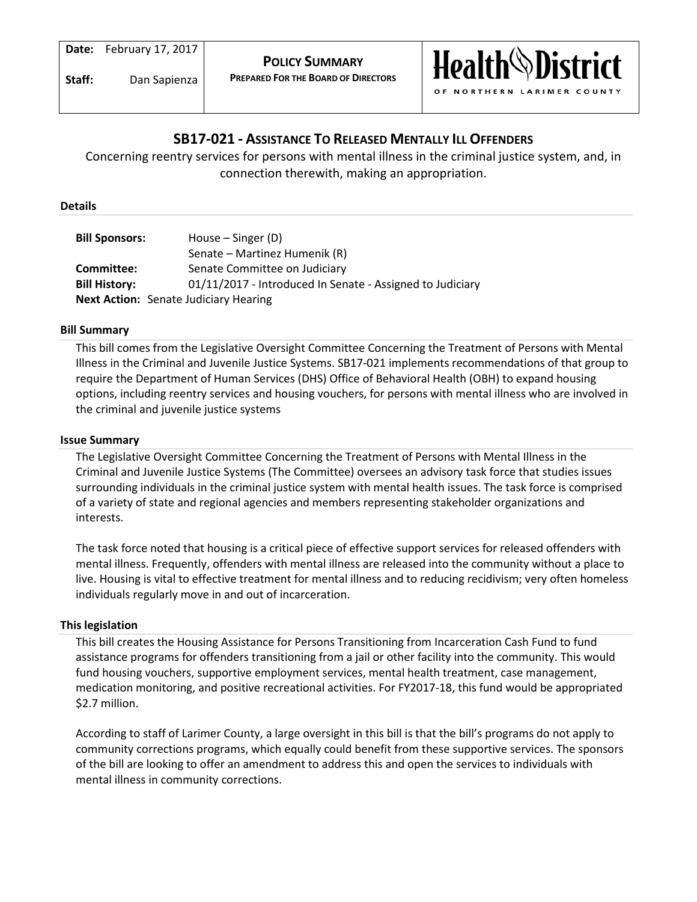

# **SB17-021 - ASSISTANCE TO RELEASED MENTALLY ILL OFFENDERS**

Concerning reentry services for persons with mental illness in the criminal justice system, and, in connection therewith, making an appropriation.

#### **Details**

| <b>Bill Sponsors:</b> | House $-$ Singer (D)                                      |
|-----------------------|-----------------------------------------------------------|
|                       | Senate – Martinez Humenik (R)                             |
| Committee:            | Senate Committee on Judiciary                             |
| <b>Bill History:</b>  | 01/11/2017 - Introduced In Senate - Assigned to Judiciary |
|                       | <b>Next Action:</b> Senate Judiciary Hearing              |

## **Bill Summary**

This bill comes from the Legislative Oversight Committee Concerning the Treatment of Persons with Mental Illness in the Criminal and Juvenile Justice Systems. SB17-021 implements recommendations of that group to require the Department of Human Services (DHS) Office of Behavioral Health (OBH) to expand housing options, including reentry services and housing vouchers, for persons with mental illness who are involved in the criminal and juvenile justice systems

## **Issue Summary**

The Legislative Oversight Committee Concerning the Treatment of Persons with Mental Illness in the Criminal and Juvenile Justice Systems (The Committee) oversees an advisory task force that studies issues surrounding individuals in the criminal justice system with mental health issues. The task force is comprised of a variety of state and regional agencies and members representing stakeholder organizations and interests.

The task force noted that housing is a critical piece of effective support services for released offenders with mental illness. Frequently, offenders with mental illness are released into the community without a place to live. Housing is vital to effective treatment for mental illness and to reducing recidivism; very often homeless individuals regularly move in and out of incarceration.

#### **This legislation**

This bill creates the Housing Assistance for Persons Transitioning from Incarceration Cash Fund to fund assistance programs for offenders transitioning from a jail or other facility into the community. This would fund housing vouchers, supportive employment services, mental health treatment, case management, medication monitoring, and positive recreational activities. For FY2017-18, this fund would be appropriated \$2.7 million.

According to staff of Larimer County, a large oversight in this bill is that the bill's programs do not apply to community corrections programs, which equally could benefit from these supportive services. The sponsors of the bill are looking to offer an amendment to address this and open the services to individuals with mental illness in community corrections.